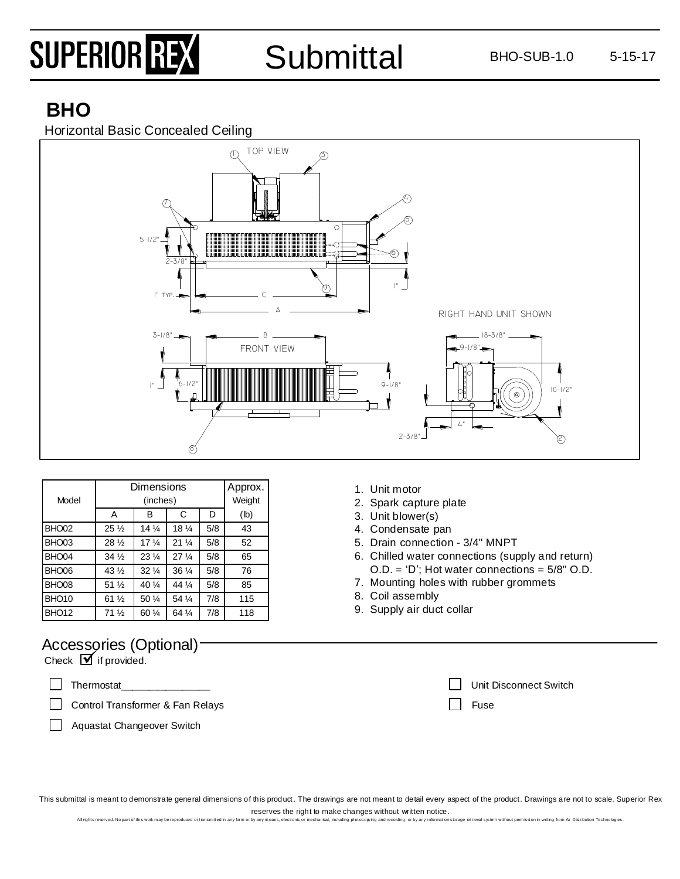# SUPERIOR REX

## Submittal BHO-SUB-1.0 5-15-17

## **BHO**

Horizontal Basic Concealed Ceiling



| Model             | Dimensions      | Approx.<br>Weight |                                |     |      |
|-------------------|-----------------|-------------------|--------------------------------|-----|------|
|                   | A               | в                 | C                              | D   | (lb) |
| BHO <sub>02</sub> | $25\frac{1}{2}$ | $14\frac{1}{4}$   | $18\frac{1}{4}$                | 5/8 | 43   |
| BHO <sub>03</sub> | $28\frac{1}{2}$ | 17 <sub>4</sub>   | $21\frac{1}{4}$                | 5/8 | 52   |
| BHO <sub>04</sub> | $34\frac{1}{2}$ | $23\frac{1}{4}$   | 27 <sup>1</sup> / <sub>4</sub> | 5/8 | 65   |
| BHO06             | $43\frac{1}{2}$ | $32\frac{1}{4}$   | 36 $\frac{1}{4}$               | 5/8 | 76   |
| BHO <sub>08</sub> | $51\frac{1}{2}$ | 40 $\frac{1}{4}$  | 44 1/4                         | 5/8 | 85   |
| BHO <sub>10</sub> | $61\frac{1}{2}$ | 50 $\frac{1}{4}$  | 54 %                           | 7/8 | 115  |
| BHO <sub>12</sub> | 71 <sub>2</sub> | 60 1/4            | 64 %                           | 7/8 | 118  |

## Accessories (Optional)

 $Check \nightharpoonup$  if provided.

Thermostat\_\_\_\_\_\_\_\_\_\_\_\_\_\_\_\_

 $\Box$ Control Transformer & Fan Relays

Aquastat Changeover Switch

- 1. Unit motor
- 2. Spark capture plate
- 3. Unit blower(s)
- 4. Condensate pan
- 5. Drain connection 3/4" MNPT
- 6. Chilled water connections (supply and return) O.D. = 'D'; Hot water connections = 5/8" O.D.
- 7. Mounting holes with rubber grommets
- 8. Coil assembly
- 9. Supply air duct collar

| Unit Disconnect Switch |
|------------------------|
| <b>T</b> Fuse          |

This submittal is meant to demonstrate general dimensions of this product. The drawings are not meant to detail every aspect of the product. Drawings are not to scale. Superior Rex reserves the right to make changes without written notice.

All rights reserved. No part of this work may be reproduced or transmitted in any form or by any means, electronic or mechanical, including protocopying and recording, or by any information storage retrieval system without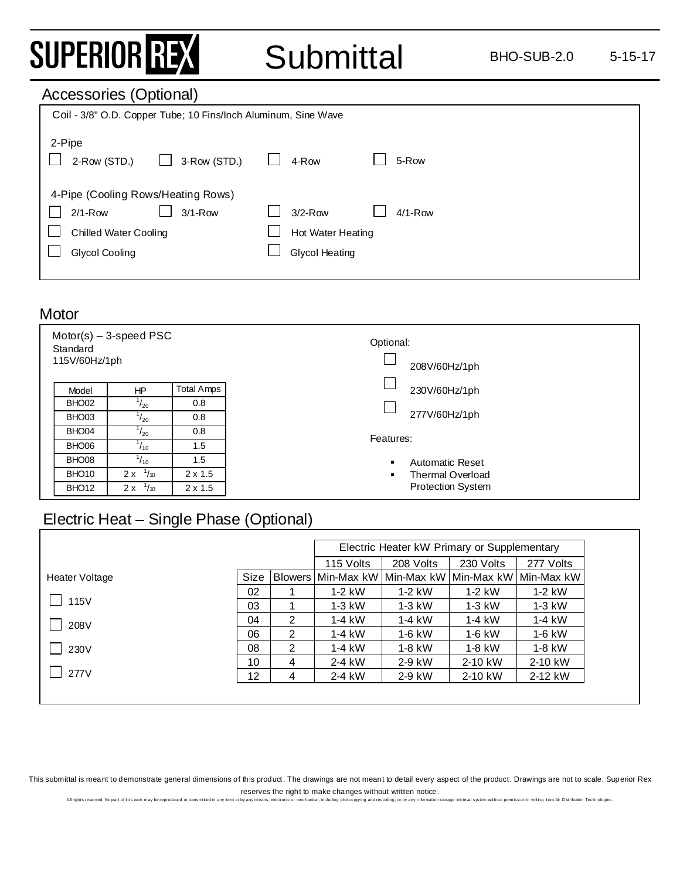## SUPERIOR REX

## Submittal BHO-SUB-2.0 5-15-17

### Accessories (Optional)

| Coil - 3/8" O.D. Copper Tube; 10 Fins/Inch Aluminum, Sine Wave                                                     |                                                                       |  |  |  |
|--------------------------------------------------------------------------------------------------------------------|-----------------------------------------------------------------------|--|--|--|
| 2-Pipe<br>3-Row (STD.)<br>2-Row (STD.)                                                                             | 5-Row<br>4-Row                                                        |  |  |  |
| 4-Pipe (Cooling Rows/Heating Rows)<br>$2/1 - Row$<br>$3/1 - Row$<br><b>Chilled Water Cooling</b><br>Glycol Cooling | $3/2$ -Row<br>$4/1-Row$<br>Hot Water Heating<br><b>Glycol Heating</b> |  |  |  |
|                                                                                                                    |                                                                       |  |  |  |

#### **Motor**

| Standard<br>115V/60Hz/1ph | $Motor(s) - 3-speed PSC$ |                   | Optional:<br>208V/60Hz/1ph |
|---------------------------|--------------------------|-------------------|----------------------------|
| Model                     | HP                       | <b>Total Amps</b> | 230V/60Hz/1ph              |
| BHO <sub>02</sub>         | $^{1}/_{20}$             | 0.8               |                            |
| BHO03                     | $^{1}/_{20}$             | 0.8               | 277V/60Hz/1ph              |
| BHO04                     | $^{1}/_{20}$             | 0.8               | Features:                  |
| BHO06                     | $^{1}/_{10}$             | 1.5               |                            |
| BHO08                     | $^{1}/_{10}$             | 1.5               | Automatic Reset            |
| BHO <sub>10</sub>         | 1/10<br>2x               | $2 \times 1.5$    | <b>Thermal Overload</b>    |
| BHO <sub>12</sub>         | $^{1}/_{10}$<br>2x       | $2 \times 1.5$    | <b>Protection System</b>   |

### Electric Heat – Single Phase (Optional)

|                |      |   | Electric Heater kW Primary or Supplementary                 |           |           |           |
|----------------|------|---|-------------------------------------------------------------|-----------|-----------|-----------|
|                |      |   | 115 Volts                                                   | 208 Volts | 230 Volts | 277 Volts |
| Heater Voltage | Size |   | Blowers   Min-Max kW   Min-Max kW   Min-Max kW   Min-Max kW |           |           |           |
|                | 02   |   | $1-2$ kW                                                    | $1-2$ kW  | $1-2$ kW  | $1-2$ kW  |
| $\Box$ 115V    | 03   |   | $1-3$ kW                                                    | $1-3$ kW  | $1-3$ kW  | $1-3$ kW  |
| 208V           | 04   | 2 | $1-4$ kW                                                    | $1-4$ kW  | $1-4$ kW  | $1-4$ kW  |
|                | 06   | 2 | $1-4$ kW                                                    | $1-6$ kW  | $1-6$ kW  | $1-6$ kW  |
| 230V           | 08   | 2 | $1-4$ kW                                                    | $1-8$ kW  | $1-8$ kW  | 1-8 kW    |
|                | 10   | 4 | 2-4 kW                                                      | 2-9 kW    | 2-10 kW   | 2-10 kW   |
| $\sqrt{277}$ V | 12   | 4 | 2-4 kW                                                      | 2-9 kW    | 2-10 kW   | 2-12 kW   |

This submittal is meant to demonstrate general dimensions of this product. The drawings are not meant to detail every aspect of the product. Drawings are not to scale. Superior Rex reserves the right to make changes without written notice.

All rights reserved. No part of this wok may be reproduced or tansmitted in any form or by any means, electronic or mechanical, including protocoping and recording, or by any information storage retrieval system without pe